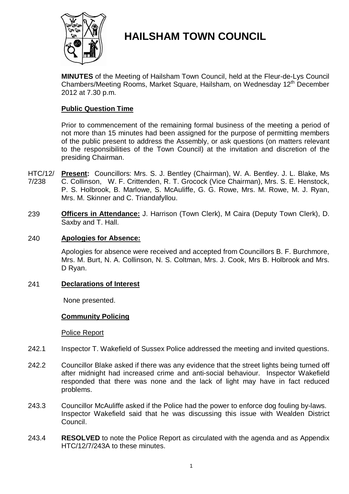

# **HAILSHAM TOWN COUNCIL**

**MINUTES** of the Meeting of Hailsham Town Council, held at the Fleur-de-Lys Council Chambers/Meeting Rooms, Market Square, Hailsham, on Wednesday 12<sup>th</sup> December 2012 at 7.30 p.m.

# **Public Question Time**

Prior to commencement of the remaining formal business of the meeting a period of not more than 15 minutes had been assigned for the purpose of permitting members of the public present to address the Assembly, or ask questions (on matters relevant to the responsibilities of the Town Council) at the invitation and discretion of the presiding Chairman.

- HTC/12/ 7/238 **Present:** Councillors: Mrs. S. J. Bentley (Chairman), W. A. Bentley. J. L. Blake, Ms C. Collinson, W. F. Crittenden, R. T. Grocock (Vice Chairman), Mrs. S. E. Henstock, P. S. Holbrook, B. Marlowe, S. McAuliffe, G. G. Rowe, Mrs. M. Rowe, M. J. Ryan, Mrs. M. Skinner and C. Triandafyllou.
- 239 **Officers in Attendance:** J. Harrison (Town Clerk), M Caira (Deputy Town Clerk), D. Saxby and T. Hall.

# 240 **Apologies for Absence:**

Apologies for absence were received and accepted from Councillors B. F. Burchmore, Mrs. M. Burt, N. A. Collinson, N. S. Coltman, Mrs. J. Cook, Mrs B. Holbrook and Mrs. D Ryan.

# 241 **Declarations of Interest**

None presented.

# **Community Policing**

Police Report

- 242.1 Inspector T. Wakefield of Sussex Police addressed the meeting and invited questions.
- 242.2 Councillor Blake asked if there was any evidence that the street lights being turned off after midnight had increased crime and anti-social behaviour. Inspector Wakefield responded that there was none and the lack of light may have in fact reduced problems.
- 243.3 Councillor McAuliffe asked if the Police had the power to enforce dog fouling by-laws. Inspector Wakefield said that he was discussing this issue with Wealden District Council.
- 243.4 **RESOLVED** to note the Police Report as circulated with the agenda and as Appendix HTC/12/7/243A to these minutes.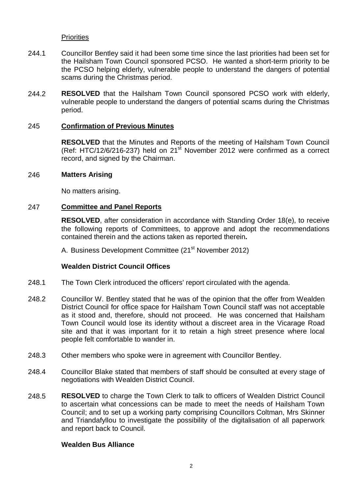## **Priorities**

- 244.1 Councillor Bentley said it had been some time since the last priorities had been set for the Hailsham Town Council sponsored PCSO. He wanted a short-term priority to be the PCSO helping elderly, vulnerable people to understand the dangers of potential scams during the Christmas period.
- 244.2 **RESOLVED** that the Hailsham Town Council sponsored PCSO work with elderly, vulnerable people to understand the dangers of potential scams during the Christmas period.

## 245 **Confirmation of Previous Minutes**

**RESOLVED** that the Minutes and Reports of the meeting of Hailsham Town Council (Ref: HTC/12/6/216-237) held on 21<sup>st</sup> November 2012 were confirmed as a correct record, and signed by the Chairman.

#### 246 **Matters Arising**

No matters arising.

#### 247 **Committee and Panel Reports**

**RESOLVED**, after consideration in accordance with Standing Order 18(e), to receive the following reports of Committees, to approve and adopt the recommendations contained therein and the actions taken as reported therein**.**

A. Business Development Committee (21<sup>st</sup> November 2012)

#### **Wealden District Council Offices**

- 248.1 The Town Clerk introduced the officers' report circulated with the agenda.
- 248.2 Councillor W. Bentley stated that he was of the opinion that the offer from Wealden District Council for office space for Hailsham Town Council staff was not acceptable as it stood and, therefore, should not proceed. He was concerned that Hailsham Town Council would lose its identity without a discreet area in the Vicarage Road site and that it was important for it to retain a high street presence where local people felt comfortable to wander in.
- 248.3 Other members who spoke were in agreement with Councillor Bentley.
- 248.4 Councillor Blake stated that members of staff should be consulted at every stage of negotiations with Wealden District Council.
- 248.5 **RESOLVED** to charge the Town Clerk to talk to officers of Wealden District Council to ascertain what concessions can be made to meet the needs of Hailsham Town Council; and to set up a working party comprising Councillors Coltman, Mrs Skinner and Triandafyllou to investigate the possibility of the digitalisation of all paperwork and report back to Council.

## **Wealden Bus Alliance**